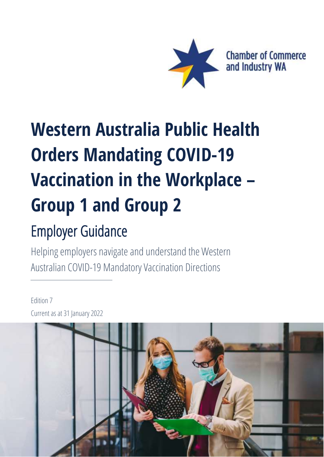

# **Western Australia Public Health Orders Mandating COVID-19 Vaccination in the Workplace – Group 1 and Group 2**

# Employer Guidance

Helping employers navigate and understand the Western Australian COVID-19 Mandatory Vaccination Directions

## Edition 7 Current as at 31 January 2022

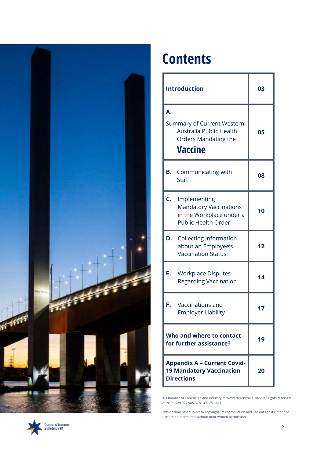

# **Contents**

| <b>Introduction</b>                                                                                           | 03 |
|---------------------------------------------------------------------------------------------------------------|----|
| А.<br><b>Summary of Current Western</b><br>Australia Public Health<br><b>Orders Mandating the</b><br>Vaccine  | 05 |
| <b>B.</b> Communicating with<br><b>Staff</b>                                                                  | 08 |
| C.<br>Implementing<br><b>Mandatory Vaccinations</b><br>in the Workplace under a<br><b>Public Health Order</b> | 10 |
| D.<br><b>Collecting Information</b><br>about an Employee's<br><b>Vaccination Status</b>                       | 12 |
| Е.<br><b>Workplace Disputes</b><br><b>Regarding Vaccination</b>                                               | 14 |
| F.<br>Vaccinations and<br><b>Employer Liability</b>                                                           | 17 |
| Who and where to contact<br>for further assistance?                                                           | 19 |
| <b>Appendix A - Current Covid-</b><br><b>19 Mandatory Vaccination</b><br><b>Directions</b>                    | 20 |

© Chamber of Commerce and Industry of Western Australia 2022. All rights reserved. ABN: 96 929 977 985 ACN: 099 891 611

This document is subject to copyright. Its reproduction and use outside its intended use are not permitted without prior written permission.

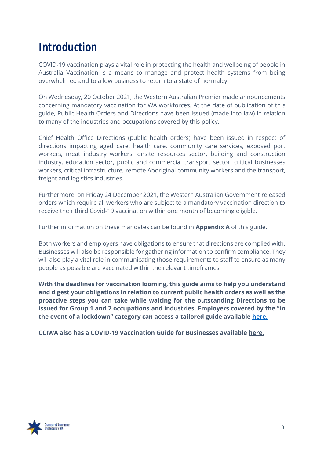# **Introduction**

COVID-19 vaccination plays a vital role in protecting the health and wellbeing of people in Australia. Vaccination is a means to manage and protect health systems from being overwhelmed and to allow business to return to a state of normalcy.

On Wednesday, 20 October 2021, the Western Australian Premier made announcements concerning mandatory vaccination for WA workforces. At the date of publication of this guide, Public Health Orders and Directions have been issued (made into law) in relation to many of the industries and occupations covered by this policy.

Chief Health Office Directions (public health orders) have been issued in respect of directions impacting aged care, health care, community care services, exposed port workers, meat industry workers, onsite resources sector, building and construction industry, education sector, public and commercial transport sector, critical businesses workers, critical infrastructure, remote Aboriginal community workers and the transport, freight and logistics industries.

Furthermore, on Friday 24 December 2021, the Western Australian Government released orders which require all workers who are subject to a mandatory vaccination direction to receive their third Covid-19 vaccination within one month of becoming eligible.

Further information on these mandates can be found in **Appendix A** of this guide.

Both workers and employers have obligations to ensure that directions are complied with. Businesses will also be responsible for gathering information to confirm compliance. They will also play a vital role in communicating those requirements to staff to ensure as many people as possible are vaccinated within the relevant timeframes.

**With the deadlines for vaccination looming, this guide aims to help you understand and digest your obligations in relation to current public health orders as well as the proactive steps you can take while waiting for the outstanding Directions to be issued for Group 1 and 2 occupations and industries. Employers covered by the "in the event of a lockdown" category can access a tailored guide available [here.](https://cciwa.com/wp-content/uploads/2021/11/WA-COVID-19-Vaccination-requirement-in-the-Workplace-In-the-event-of-a-lockdown-Edition-2.pdf)**

**CCIWA also has a COVID-19 Vaccination Guide for Businesses available [here.](https://cciwa.com/business-pulse/cciwa-releases-covid-19-vaccine-guide-for-business/?utm_source=landing+page&utm_medium=PDF&utm_campaign=wa_vaccination_guide)**

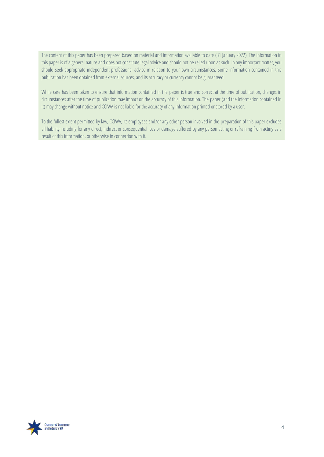The content of this paper has been prepared based on material and information available to date (31 January 2022). The information in this paper is of a general nature and does not constitute legal advice and should not be relied upon as such. In any important matter, you should seek appropriate independent professional advice in relation to your own circumstances. Some information contained in this publication has been obtained from external sources, and its accuracy or currency cannot be guaranteed.

While care has been taken to ensure that information contained in the paper is true and correct at the time of publication, changes in circumstances after the time of publication may impact on the accuracy of this information. The paper (and the information contained in it) may change without notice and CCIWA is not liable for the accuracy of any information printed or stored by a user.

<span id="page-3-0"></span>To the fullest extent permitted by law, CCIWA, its employees and/or any other person involved in the preparation of this paper excludes all liability including for any direct, indirect or consequential loss or damage suffered by any person acting or refraining from acting as a result of this information, or otherwise in connection with it.

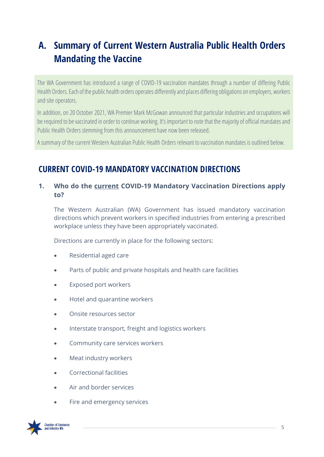# **A. Summary of Current Western Australia Public Health Orders Mandating the Vaccine**

The WA Government has introduced a range of COVID-19 vaccination mandates through a number of differing Public Health Orders. Each of the public health orders operates differently and places differing obligations on employers, workers and site operators.

In addition, on 20 October 2021, WA Premier Mark McGowan announced that particular industries and occupations will be required to be vaccinated in order to continue working. It's important to note that the majority of official mandates and Public Health Orders stemming from this announcement have now been released.

A summary of the current Western Australian Public Health Orders relevant to vaccination mandates is outlined below.

## **CURRENT [COVID-19 MANDATORY VACCINATION DIRECTIONS](https://www.dhhs.vic.gov.au/victorias-restriction-levels-covid-19)**

### **1. Who do the current COVID-19 Mandatory Vaccination Directions apply to?**

The Western Australian (WA) Government has issued mandatory vaccination directions which prevent workers in specified industries from entering a prescribed workplace unless they have been appropriately vaccinated.

Directions are currently in place for the following sectors:

- Residential aged care
- Parts of public and private hospitals and health care facilities
- Exposed port workers
- Hotel and quarantine workers
- Onsite resources sector
- Interstate transport, freight and logistics workers
- Community care services workers
- Meat industry workers
- Correctional facilities
- Air and border services
- Fire and emergency services

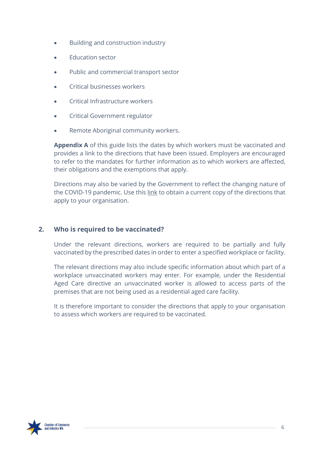- Building and construction industry
- Education sector
- Public and commercial transport sector
- Critical businesses workers
- Critical Infrastructure workers
- Critical Government regulator
- Remote Aboriginal community workers.

**Appendix A** of this guide lists the dates by which workers must be vaccinated and provides a link to the directions that have been issued. Employers are encouraged to refer to the mandates for further information as to which workers are affected, their obligations and the exemptions that apply.

Directions may also be varied by the Government to reflect the changing nature of the COVID-19 pandemic. Use this [link](https://www.wa.gov.au/government/document-collections/covid-19-coronavirus-mandatory-vaccination) to obtain a current copy of the directions that apply to your organisation.

#### **2. Who is required to be vaccinated?**

Under the relevant directions, workers are required to be partially and fully vaccinated by the prescribed dates in order to enter a specified workplace or facility.

The relevant directions may also include specific information about which part of a workplace unvaccinated workers may enter. For example, under the Residential Aged Care directive an unvaccinated worker is allowed to access parts of the premises that are not being used as a residential aged care facility.

It is therefore important to consider the directions that apply to your organisation to assess which workers are required to be vaccinated.

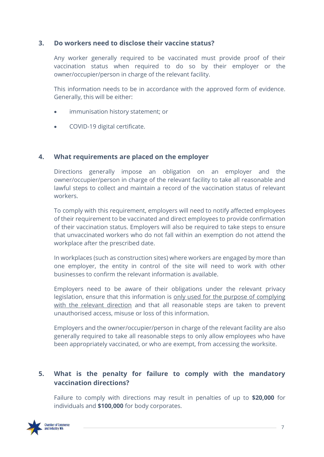#### **3. Do workers need to disclose their vaccine status?**

Any worker generally required to be vaccinated must provide proof of their vaccination status when required to do so by their employer or the owner/occupier/person in charge of the relevant facility.

This information needs to be in accordance with the approved form of evidence. Generally, this will be either:

- immunisation history statement; or
- COVID-19 digital certificate.

#### **4. What requirements are placed on the employer**

Directions generally impose an obligation on an employer and the owner/occupier/person in charge of the relevant facility to take all reasonable and lawful steps to collect and maintain a record of the vaccination status of relevant workers.

To comply with this requirement, employers will need to notify affected employees of their requirement to be vaccinated and direct employees to provide confirmation of their vaccination status. Employers will also be required to take steps to ensure that unvaccinated workers who do not fall within an exemption do not attend the workplace after the prescribed date.

In workplaces (such as construction sites) where workers are engaged by more than one employer, the entity in control of the site will need to work with other businesses to confirm the relevant information is available.

Employers need to be aware of their obligations under the relevant privacy legislation, ensure that this information is only used for the purpose of complying with the relevant direction and that all reasonable steps are taken to prevent unauthorised access, misuse or loss of this information.

Employers and the owner/occupier/person in charge of the relevant facility are also generally required to take all reasonable steps to only allow employees who have been appropriately vaccinated, or who are exempt, from accessing the worksite.

### **5. What is the penalty for failure to comply with the mandatory vaccination directions?**

Failure to comply with directions may result in penalties of up to **\$20,000** for individuals and **\$100,000** for body corporates.

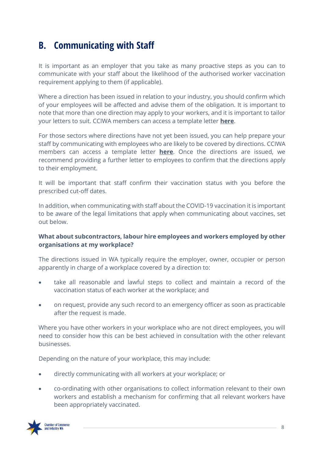## <span id="page-7-0"></span>**B. Communicating with Staff**

It is important as an employer that you take as many proactive steps as you can to communicate with your staff about the likelihood of the authorised worker vaccination requirement applying to them (if applicable).

Where a direction has been issued in relation to your industry, you should confirm which of your employees will be affected and advise them of the obligation. It is important to note that more than one direction may apply to your workers, and it is important to tailor your letters to suit. CCIWA members can access a template letter **[here](https://cciwa.com/mp-files/template-communication-letter-mandatory-vaccination-order-issued.docx/)**.

For those sectors where directions have not yet been issued, you can help prepare your staff by communicating with employees who are likely to be covered by directions. CCIWA members can access a template letter **[here](https://cciwa.com/mp-files/template-communication-letter-mandatory-vaccination-order-not-issued.docx/)**. Once the directions are issued, we recommend providing a further letter to employees to confirm that the directions apply to their employment.

It will be important that staff confirm their vaccination status with you before the prescribed cut-off dates.

In addition, when communicating with staff about the COVID-19 vaccination it is important to be aware of the legal limitations that apply when communicating about vaccines, set out below.

#### **What about subcontractors, labour hire employees and workers employed by other organisations at my workplace?**

The directions issued in WA typically require the employer, owner, occupier or person apparently in charge of a workplace covered by a direction to:

- take all reasonable and lawful steps to collect and maintain a record of the vaccination status of each worker at the workplace; and
- on request, provide any such record to an emergency officer as soon as practicable after the request is made.

Where you have other workers in your workplace who are not direct employees, you will need to consider how this can be best achieved in consultation with the other relevant businesses.

Depending on the nature of your workplace, this may include:

- directly communicating with all workers at your workplace; or
- co-ordinating with other organisations to collect information relevant to their own workers and establish a mechanism for confirming that all relevant workers have been appropriately vaccinated.

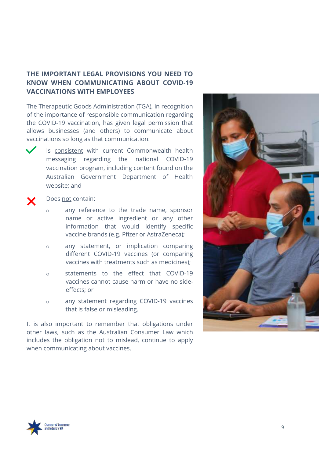## **THE IMPORTANT LEGAL PROVISIONS YOU NEED TO KNOW WHEN COMMUNICATING ABOUT COVID-19 VACCINATIONS WITH EMPLOYEES**

The Therapeutic Goods Administration (TGA), in recognition of the importance of responsible communication regarding the COVID-19 vaccination, has given legal permission that allows businesses (and others) to communicate about vaccinations so long as that communication:



Is consistent with current Commonwealth health messaging regarding the national COVID-19 vaccination program, including content found on the Australian Government Department of Health website; and



#### Does not contain:

- o any reference to the trade name, sponsor name or active ingredient or any other information that would identify specific vaccine brands (e.g. Pfizer or AstraZeneca);
- o any statement, or implication comparing different COVID-19 vaccines (or comparing vaccines with treatments such as medicines);
- o statements to the effect that COVID-19 vaccines cannot cause harm or have no sideeffects; or
- o any statement regarding COVID-19 vaccines that is false or misleading.

It is also important to remember that obligations under other laws, such as the Australian Consumer Law which includes the obligation not to mislead, continue to apply when communicating about vaccines.



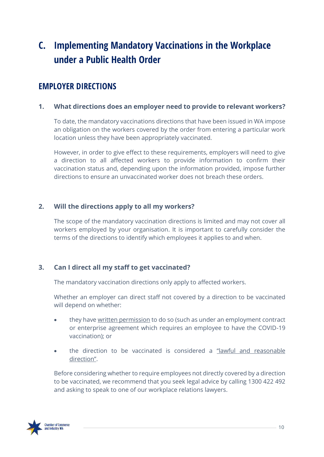# <span id="page-9-0"></span>**C. Implementing Mandatory Vaccinations in the Workplace under a Public Health Order**

## **EMPLOYER DIRECTIONS**

### **1. What directions does an employer need to provide to relevant workers?**

To date, the mandatory vaccinations directions that have been issued in WA impose an obligation on the workers covered by the order from entering a particular work location unless they have been appropriately vaccinated.

However, in order to give effect to these requirements, employers will need to give a direction to all affected workers to provide information to confirm their vaccination status and, depending upon the information provided, impose further directions to ensure an unvaccinated worker does not breach these orders.

### **2. Will the directions apply to all my workers?**

The scope of the mandatory vaccination directions is limited and may not cover all workers employed by your organisation. It is important to carefully consider the terms of the directions to identify which employees it applies to and when.

### **3. Can I direct all my staff to get vaccinated?**

The mandatory vaccination directions only apply to affected workers.

Whether an employer can direct staff not covered by a direction to be vaccinated will depend on whether:

- they have written permission to do so (such as under an employment contract or enterprise agreement which requires an employee to have the COVID-19 vaccination); or
- the direction to be vaccinated is considered a "lawful and reasonable direction".

Before considering whether to require employees not directly covered by a direction to be vaccinated, we recommend that you seek legal advice by calling 1300 422 492 and asking to speak to one of our workplace relations lawyers.

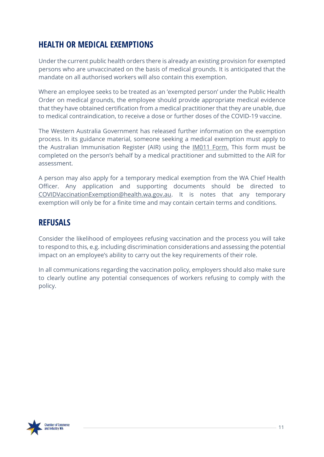## **HEALTH OR MEDICAL EXEMPTIONS**

Under the current public health orders there is already an existing provision for exempted persons who are unvaccinated on the basis of medical grounds. It is anticipated that the mandate on all authorised workers will also contain this exemption.

Where an employee seeks to be treated as an 'exempted person' under the Public Health Order on medical grounds, the employee should provide appropriate medical evidence that they have obtained certification from a medical practitioner that they are unable, due to medical contraindication, to receive a dose or further doses of the COVID-19 vaccine.

The Western Australia Government has released further information on the exemption process. In its guidance material, someone seeking a medical exemption must apply to the Australian Immunisation Register (AIR) using the [IM011](https://www.servicesaustralia.gov.au/organisations/health-professionals/forms/im011) Form. This form must be completed on the person's behalf by a medical practitioner and submitted to the AIR for assessment.

A person may also apply for a temporary medical exemption from the WA Chief Health Officer. Any application and supporting documents should be directed to [COVIDVaccinationExemption@health.wa.gov.au.](mailto:COVIDVaccinationExemption@health.wa.gov.au) It is notes that any temporary exemption will only be for a finite time and may contain certain terms and conditions.

## **REFUSALS**

Consider the likelihood of employees refusing vaccination and the process you will take to respond to this, e.g. including discrimination considerations and assessing the potential impact on an employee's ability to carry out the key requirements of their role.

In all communications regarding the vaccination policy, employers should also make sure to clearly outline any potential consequences of workers refusing to comply with the policy.

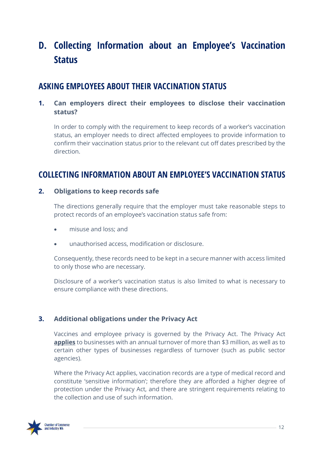# <span id="page-11-0"></span>**D. Collecting Information about an Employee's Vaccination Status**

## **ASKING EMPLOYEES ABOUT THEIR VACCINATION STATUS**

## **1. Can employers direct their employees to disclose their vaccination status?**

In order to comply with the requirement to keep records of a worker's vaccination status, an employer needs to direct affected employees to provide information to confirm their vaccination status prior to the relevant cut off dates prescribed by the direction.

## **COLLECTING INFORMATION ABOUT AN EMPLOYEE'S VACCINATION STATUS**

#### **2. Obligations to keep records safe**

The directions generally require that the employer must take reasonable steps to protect records of an employee's vaccination status safe from:

- misuse and loss; and
- unauthorised access, modification or disclosure.

Consequently, these records need to be kept in a secure manner with access limited to only those who are necessary.

Disclosure of a worker's vaccination status is also limited to what is necessary to ensure compliance with these directions.

## **3. Additional obligations under the Privacy Act**

Vaccines and employee privacy is governed by the Privacy Act. The Privacy Act **applies** to businesses with an annual turnover of more than \$3 million, as well as to certain other types of businesses regardless of turnover (such as public sector agencies).

Where the Privacy Act applies, vaccination records are a type of medical record and constitute 'sensitive information'; therefore they are afforded a higher degree of protection under the Privacy Act, and there are stringent requirements relating to the collection and use of such information.

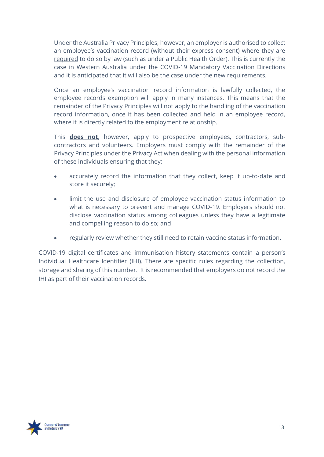Under the Australia Privacy Principles, however, an employer is authorised to collect an employee's vaccination record (without their express consent) where they are required to do so by law (such as under a Public Health Order). This is currently the case in Western Australia under the COVID-19 Mandatory Vaccination Directions and it is anticipated that it will also be the case under the new requirements.

Once an employee's vaccination record information is lawfully collected, the employee records exemption will apply in many instances. This means that the remainder of the Privacy Principles will not apply to the handling of the vaccination record information, once it has been collected and held in an employee record, where it is directly related to the employment relationship.

This **does not**, however, apply to prospective employees, contractors, subcontractors and volunteers. Employers must comply with the remainder of the Privacy Principles under the Privacy Act when dealing with the personal information of these individuals ensuring that they:

- accurately record the information that they collect, keep it up-to-date and store it securely;
- limit the use and disclosure of employee vaccination status information to what is necessary to prevent and manage COVID-19. Employers should not disclose vaccination status among colleagues unless they have a legitimate and compelling reason to do so; and
- regularly review whether they still need to retain vaccine status information.

COVID-19 digital certificates and immunisation history statements contain a person's Individual Healthcare Identifier (IHI). There are specific rules regarding the collection, storage and sharing of this number. It is recommended that employers do not record the IHI as part of their vaccination records.

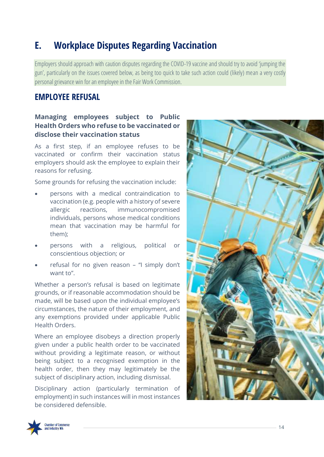## <span id="page-13-0"></span>**E. Workplace Disputes Regarding Vaccination**

Employers should approach with caution disputes regarding the COVID-19 vaccine and should try to avoid 'jumping the gun', particularly on the issues covered below, as being too quick to take such action could (likely) mean a very costly personal grievance win for an employee in the Fair Work Commission.

## **EMPLOYEE REFUSAL**

### **Managing employees subject to Public Health Orders who refuse to be vaccinated or disclose their vaccination status**

As a first step, if an employee refuses to be vaccinated or confirm their vaccination status employers should ask the employee to explain their reasons for refusing.

Some grounds for refusing the vaccination include:

- persons with a medical contraindication to vaccination (e.g. people with a history of severe allergic reactions, immunocompromised individuals, persons whose medical conditions mean that vaccination may be harmful for them);
- persons with a religious, political or conscientious objection; or
- refusal for no given reason "I simply don't want to".

Whether a person's refusal is based on legitimate grounds, or if reasonable accommodation should be made, will be based upon the individual employee's circumstances, the nature of their employment, and any exemptions provided under applicable Public Health Orders.

Where an employee disobeys a direction properly given under a public health order to be vaccinated without providing a legitimate reason, or without being subject to a recognised exemption in the health order, then they may legitimately be the subject of disciplinary action, including dismissal.

Disciplinary action (particularly termination of employment) in such instances will in most instances be considered defensible.



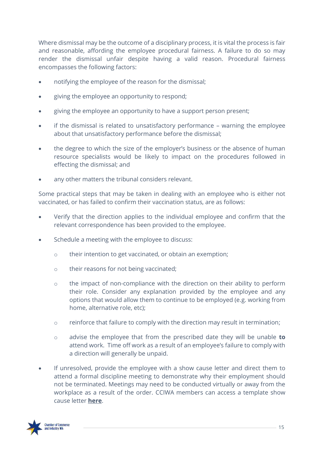Where dismissal may be the outcome of a disciplinary process, it is vital the process is fair and reasonable, affording the employee procedural fairness. A failure to do so may render the dismissal unfair despite having a valid reason. Procedural fairness encompasses the following factors:

- notifying the employee of the reason for the dismissal;
- giving the employee an opportunity to respond;
- giving the employee an opportunity to have a support person present;
- if the dismissal is related to unsatisfactory performance warning the employee about that unsatisfactory performance before the dismissal;
- the degree to which the size of the employer's business or the absence of human resource specialists would be likely to impact on the procedures followed in effecting the dismissal; and
- any other matters the tribunal considers relevant.

Some practical steps that may be taken in dealing with an employee who is either not vaccinated, or has failed to confirm their vaccination status, are as follows:

- Verify that the direction applies to the individual employee and confirm that the relevant correspondence has been provided to the employee.
- Schedule a meeting with the employee to discuss:
	- o their intention to get vaccinated, or obtain an exemption;
	- o their reasons for not being vaccinated;
	- o the impact of non-compliance with the direction on their ability to perform their role. Consider any explanation provided by the employee and any options that would allow them to continue to be employed (e.g. working from home, alternative role, etc);
	- o reinforce that failure to comply with the direction may result in termination;
	- o advise the employee that from the prescribed date they will be unable **to** attend work. Time off work as a result of an employee's failure to comply with a direction will generally be unpaid.
- If unresolved, provide the employee with a show cause letter and direct them to attend a formal discipline meeting to demonstrate why their employment should not be terminated. Meetings may need to be conducted virtually or away from the workplace as a result of the order. CCIWA members can access a template show cause letter **[here](https://cciwa.com/mp-files/template-show-cause-letter.docx/)**.

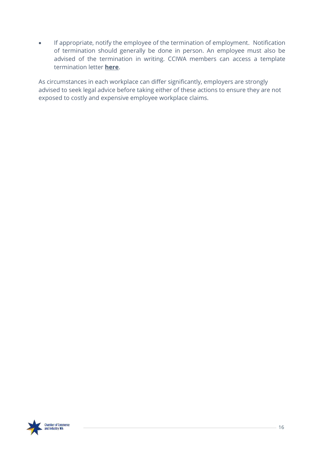• If appropriate, notify the employee of the termination of employment. Notification of termination should generally be done in person. An employee must also be advised of the termination in writing. CCIWA members can access a template termination letter **[here](https://cciwa.com/mp-files/template-termination-letter.doc/)**.

As circumstances in each workplace can differ significantly, employers are strongly advised to seek legal advice before taking either of these actions to ensure they are not exposed to costly and expensive employee workplace claims.

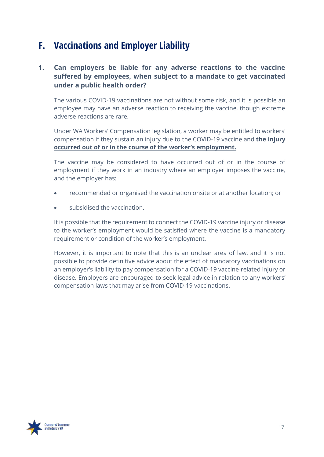## <span id="page-16-0"></span>**F. Vaccinations and Employer Liability**

## **1. Can employers be liable for any adverse reactions to the vaccine suffered by employees, when subject to a mandate to get vaccinated under a public health order?**

The various COVID-19 vaccinations are not without some risk, and it is possible an employee may have an adverse reaction to receiving the vaccine, though extreme adverse reactions are rare.

Under WA Workers' Compensation legislation, a worker may be entitled to workers' compensation if they sustain an injury due to the COVID-19 vaccine and **the injury occurred out of or in the course of the worker's employment.**

The vaccine may be considered to have occurred out of or in the course of employment if they work in an industry where an employer imposes the vaccine, and the employer has:

- recommended or organised the vaccination onsite or at another location; or
- subsidised the vaccination.

It is possible that the requirement to connect the COVID-19 vaccine injury or disease to the worker's employment would be satisfied where the vaccine is a mandatory requirement or condition of the worker's employment.

However, it is important to note that this is an unclear area of law, and it is not possible to provide definitive advice about the effect of mandatory vaccinations on an employer's liability to pay compensation for a COVID-19 vaccine-related injury or disease. Employers are encouraged to seek legal advice in relation to any workers' compensation laws that may arise from COVID-19 vaccinations.

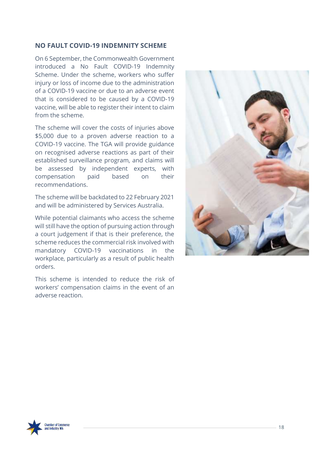#### **NO FAULT COVID-19 INDEMNITY SCHEME**

On 6 September, the Commonwealth Government introduced a No Fault COVID-19 Indemnity Scheme. Under the scheme, workers who suffer injury or loss of income due to the administration of a COVID-19 vaccine or due to an adverse event that is considered to be caused by a COVID-19 vaccine, will be able to register their intent to claim from the scheme.

The scheme will cover the costs of injuries above \$5,000 due to a proven adverse reaction to a COVID-19 vaccine. The TGA will provide guidance on recognised adverse reactions as part of their established surveillance program, and claims will be assessed by independent experts, with compensation paid based on their recommendations.

The scheme will be backdated to 22 February 2021 and will be administered by Services Australia.

While potential claimants who access the scheme will still have the option of pursuing action through a court judgement if that is their preference, the scheme reduces the commercial risk involved with mandatory COVID-19 vaccinations in the workplace, particularly as a result of public health orders.

This scheme is intended to reduce the risk of workers' compensation claims in the event of an adverse reaction.



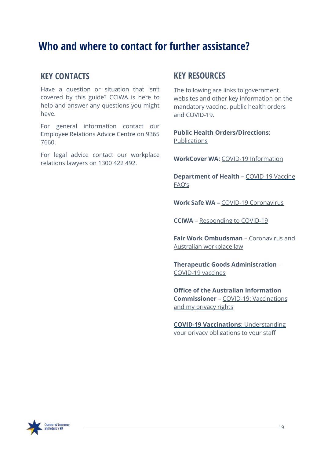## <span id="page-18-1"></span><span id="page-18-0"></span>**Who and where to contact for further assistance?**

## **KEY CONTACTS**

Have a question or situation that isn't covered by this guide? CCIWA is here to help and answer any questions you might have.

For general information contact our Employee Relations Advice Centre on 9365 7660.

For legal advice contact our workplace relations lawyers on 1300 422 492.

## **KEY RESOURCES**

The following are links to government websites and other key information on the mandatory vaccine, public health orders and COVID-19.

**Public Health Orders/Directions**: [Publications](https://www.wa.gov.au/government/document-collections/covid-19-coronavirus-mandatory-vaccination)

**WorkCover WA:** COVID-19 [Information](https://www.workcover.wa.gov.au/news-archive/covid-19-bulletins/)

**Department of Health –** [COVID-19](https://www.healthywa.wa.gov.au/COVID19vaccineFAQs) Vaccine [FAQ's](https://www.healthywa.wa.gov.au/COVID19vaccineFAQs)

**Work Safe WA –** COVID-19 [Coronavirus](https://www.commerce.wa.gov.au/worksafe/covid-19-coronavirus)

**CCIWA** – [Responding](https://covid19.cciwa.com/?utm_source=landing+page&utm_medium=PDF&utm_campaign=wa_vaccination_guide) to COVID-19

**Fair Work Ombudsman** – [Coronavirus](https://coronavirus.fairwork.gov.au/) and Australian [workplace](https://coronavirus.fairwork.gov.au/) law

**Therapeutic Goods Administration** – [COVID-19](https://www.tga.gov.au/covid-19-vaccines) vaccines

**Office of the Australian Information Commissioner** – COVID-19: [Vaccinations](https://www.oaic.gov.au/privacy/covid-19/covid-19-vaccinations-and-my-privacy-rights-as-an-employee/) and my [privacy](https://www.oaic.gov.au/privacy/covid-19/covid-19-vaccinations-and-my-privacy-rights-as-an-employee/) rights

**COVID-19 Vaccinations**: [Understanding](https://www.oaic.gov.au/privacy/guidance-and-advice/coronavirus-covid-19-vaccinations-understanding-your-privacy-obligations-to-your-staff/) your privacy [obligations](https://www.oaic.gov.au/privacy/guidance-and-advice/coronavirus-covid-19-vaccinations-understanding-your-privacy-obligations-to-your-staff/) to your staff

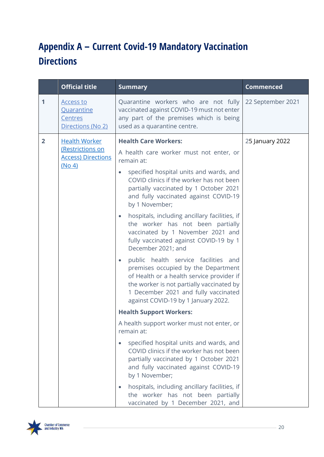# **Appendix A – Current Covid-19 Mandatory Vaccination Directions**

|              | <b>Official title</b>                                          | <b>Summary</b>                                                                                                                                                                                                                                       | <b>Commenced</b>  |
|--------------|----------------------------------------------------------------|------------------------------------------------------------------------------------------------------------------------------------------------------------------------------------------------------------------------------------------------------|-------------------|
| $\mathbf 1$  | <b>Access to</b><br>Quarantine<br>Centres<br>Directions (No 2) | Quarantine workers who are not fully<br>vaccinated against COVID-19 must not enter<br>any part of the premises which is being<br>used as a quarantine centre.                                                                                        | 22 September 2021 |
| $\mathbf{2}$ | <b>Health Worker</b>                                           | <b>Health Care Workers:</b>                                                                                                                                                                                                                          | 25 January 2022   |
|              | (Restrictions on<br><b>Access) Directions</b><br>(No 4)        | A health care worker must not enter, or<br>remain at:                                                                                                                                                                                                |                   |
|              |                                                                | specified hospital units and wards, and<br>$\bullet$<br>COVID clinics if the worker has not been<br>partially vaccinated by 1 October 2021<br>and fully vaccinated against COVID-19<br>by 1 November;                                                |                   |
|              |                                                                | hospitals, including ancillary facilities, if<br>$\bullet$<br>the worker has not been partially<br>vaccinated by 1 November 2021 and<br>fully vaccinated against COVID-19 by 1<br>December 2021; and                                                 |                   |
|              |                                                                | public health service facilities and<br>premises occupied by the Department<br>of Health or a health service provider if<br>the worker is not partially vaccinated by<br>1 December 2021 and fully vaccinated<br>against COVID-19 by 1 January 2022. |                   |
|              |                                                                | <b>Health Support Workers:</b>                                                                                                                                                                                                                       |                   |
|              |                                                                | A health support worker must not enter, or<br>remain at:                                                                                                                                                                                             |                   |
|              |                                                                | specified hospital units and wards, and<br>$\bullet$<br>COVID clinics if the worker has not been<br>partially vaccinated by 1 October 2021<br>and fully vaccinated against COVID-19<br>by 1 November;                                                |                   |
|              |                                                                | hospitals, including ancillary facilities, if<br>the worker has not been partially<br>vaccinated by 1 December 2021, and                                                                                                                             |                   |

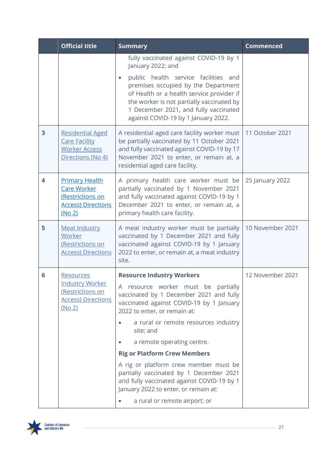|   | <b>Official title</b>                                                                                  | <b>Summary</b>                                                                                                                                                                                                                                                                                                                                                                                                                                                                                                                      | <b>Commenced</b> |
|---|--------------------------------------------------------------------------------------------------------|-------------------------------------------------------------------------------------------------------------------------------------------------------------------------------------------------------------------------------------------------------------------------------------------------------------------------------------------------------------------------------------------------------------------------------------------------------------------------------------------------------------------------------------|------------------|
|   |                                                                                                        | fully vaccinated against COVID-19 by 1<br>January 2022; and<br>public health service facilities and<br>premises occupied by the Department<br>of Health or a health service provider if<br>the worker is not partially vaccinated by<br>1 December 2021, and fully vaccinated<br>against COVID-19 by 1 January 2022.                                                                                                                                                                                                                |                  |
| 3 | <b>Residential Aged</b><br><b>Care Facility</b><br><b>Worker Access</b><br>Directions (No 4)           | A residential aged care facility worker must<br>be partially vaccinated by 11 October 2021<br>and fully vaccinated against COVID-19 by 17<br>November 2021 to enter, or remain at, a<br>residential aged care facility.                                                                                                                                                                                                                                                                                                             | 11 October 2021  |
| 4 | <b>Primary Health</b><br><b>Care Worker</b><br>(Restrictions on<br><b>Access) Directions</b><br>(No 2) | A primary health care worker must be<br>partially vaccinated by 1 November 2021<br>and fully vaccinated against COVID-19 by 1<br>December 2021 to enter, or remain at, a<br>primary health care facility.                                                                                                                                                                                                                                                                                                                           | 25 January 2022  |
| 5 | <b>Meat Industry</b><br>Worker<br>(Restrictions on<br><b>Access) Directions</b>                        | A meat industry worker must be partially<br>vaccinated by 1 December 2021 and fully<br>vaccinated against COVID-19 by 1 January<br>2022 to enter, or remain at, a meat industry<br>site.                                                                                                                                                                                                                                                                                                                                            | 10 November 2021 |
| 6 | <b>Resources</b><br><b>Industry Worker</b><br>(Restrictions on<br><b>Access) Directions</b><br>(No 2)  | <b>Resource Industry Workers</b><br>A resource worker must be partially<br>vaccinated by 1 December 2021 and fully<br>vaccinated against COVID-19 by 1 January<br>2022 to enter, or remain at:<br>a rural or remote resources industry<br>site; and<br>a remote operating centre.<br><b>Rig or Platform Crew Members</b><br>A rig or platform crew member must be<br>partially vaccinated by 1 December 2021<br>and fully vaccinated against COVID-19 by 1<br>January 2022 to enter, or remain at:<br>a rural or remote airport; or | 12 November 2021 |

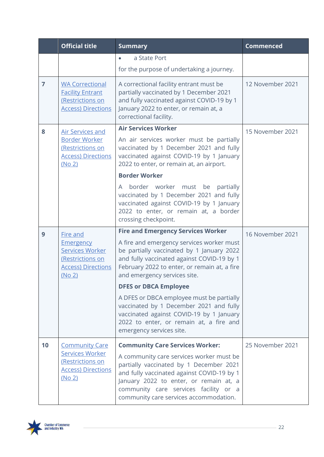|                | <b>Official title</b>                                                                                 | <b>Summary</b>                                                                                                                                                                                                                                                 | <b>Commenced</b> |
|----------------|-------------------------------------------------------------------------------------------------------|----------------------------------------------------------------------------------------------------------------------------------------------------------------------------------------------------------------------------------------------------------------|------------------|
|                |                                                                                                       | a State Port<br>$\bullet$                                                                                                                                                                                                                                      |                  |
|                |                                                                                                       | for the purpose of undertaking a journey.                                                                                                                                                                                                                      |                  |
| $\overline{7}$ | <b>WA Correctional</b><br><b>Facility Entrant</b><br>(Restrictions on<br><b>Access) Directions</b>    | A correctional facility entrant must be<br>partially vaccinated by 1 December 2021<br>and fully vaccinated against COVID-19 by 1<br>January 2022 to enter, or remain at, a<br>correctional facility.                                                           | 12 November 2021 |
| 8              | <b>Air Services and</b>                                                                               | <b>Air Services Worker</b>                                                                                                                                                                                                                                     | 15 November 2021 |
|                | <b>Border Worker</b><br>(Restrictions on<br><b>Access) Directions</b><br>(No 2)                       | An air services worker must be partially<br>vaccinated by 1 December 2021 and fully<br>vaccinated against COVID-19 by 1 January<br>2022 to enter, or remain at, an airport.                                                                                    |                  |
|                |                                                                                                       | <b>Border Worker</b>                                                                                                                                                                                                                                           |                  |
|                |                                                                                                       | border worker must be<br>partially<br>A<br>vaccinated by 1 December 2021 and fully<br>vaccinated against COVID-19 by 1 January<br>2022 to enter, or remain at, a border<br>crossing checkpoint.                                                                |                  |
| 9              | <b>Fire and</b>                                                                                       | <b>Fire and Emergency Services Worker</b>                                                                                                                                                                                                                      | 16 November 2021 |
|                | <b>Emergency</b><br><b>Services Worker</b><br>(Restrictions on<br><b>Access) Directions</b><br>(No 2) | A fire and emergency services worker must<br>be partially vaccinated by 1 January 2022<br>and fully vaccinated against COVID-19 by 1<br>February 2022 to enter, or remain at, a fire<br>and emergency services site.                                           |                  |
|                |                                                                                                       | <b>DFES or DBCA Employee</b>                                                                                                                                                                                                                                   |                  |
|                |                                                                                                       | A DFES or DBCA employee must be partially<br>vaccinated by 1 December 2021 and fully<br>vaccinated against COVID-19 by 1 January<br>2022 to enter, or remain at, a fire and<br>emergency services site.                                                        |                  |
| 10             | <b>Community Care</b>                                                                                 | <b>Community Care Services Worker:</b>                                                                                                                                                                                                                         | 25 November 2021 |
|                | <b>Services Worker</b><br>(Restrictions on<br><b>Access) Directions</b><br><u>(No 2)</u>              | A community care services worker must be<br>partially vaccinated by 1 December 2021<br>and fully vaccinated against COVID-19 by 1<br>January 2022 to enter, or remain at, a<br>community care services facility or a<br>community care services accommodation. |                  |

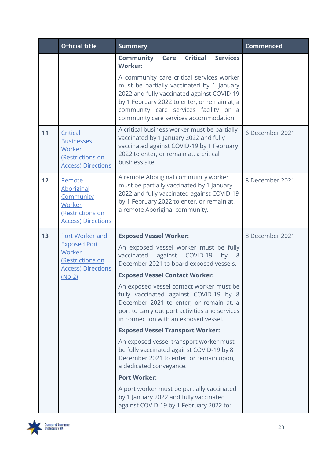|    | <b>Official title</b>                                                                               | <b>Summary</b>                                                                                                                                                                                                                                                          | <b>Commenced</b> |
|----|-----------------------------------------------------------------------------------------------------|-------------------------------------------------------------------------------------------------------------------------------------------------------------------------------------------------------------------------------------------------------------------------|------------------|
|    |                                                                                                     | <b>Critical</b><br><b>Services</b><br><b>Community</b><br>Care<br><b>Worker:</b>                                                                                                                                                                                        |                  |
|    |                                                                                                     | A community care critical services worker<br>must be partially vaccinated by 1 January<br>2022 and fully vaccinated against COVID-19<br>by 1 February 2022 to enter, or remain at, a<br>community care services facility or a<br>community care services accommodation. |                  |
| 11 | Critical<br><b>Businesses</b><br>Worker<br>(Restrictions on<br><b>Access) Directions</b>            | A critical business worker must be partially<br>vaccinated by 1 January 2022 and fully<br>vaccinated against COVID-19 by 1 February<br>2022 to enter, or remain at, a critical<br>business site.                                                                        | 6 December 2021  |
| 12 | Remote<br><b>Aboriginal</b><br>Community<br>Worker<br>(Restrictions on<br><b>Access) Directions</b> | A remote Aboriginal community worker<br>must be partially vaccinated by 1 January<br>2022 and fully vaccinated against COVID-19<br>by 1 February 2022 to enter, or remain at,<br>a remote Aboriginal community.                                                         | 8 December 2021  |
| 13 | Port Worker and                                                                                     | <b>Exposed Vessel Worker:</b>                                                                                                                                                                                                                                           | 8 December 2021  |
|    | <b>Exposed Port</b><br>Worker<br>(Restrictions on<br><b>Access) Directions</b>                      | An exposed vessel worker must be fully<br>vaccinated<br>against COVID-19<br>by $8$<br>December 2021 to board exposed vessels.                                                                                                                                           |                  |
|    | (No 2)                                                                                              | <b>Exposed Vessel Contact Worker:</b>                                                                                                                                                                                                                                   |                  |
|    |                                                                                                     | An exposed vessel contact worker must be<br>fully vaccinated against COVID-19 by 8<br>December 2021 to enter, or remain at, a<br>port to carry out port activities and services<br>in connection with an exposed vessel.                                                |                  |
|    |                                                                                                     | <b>Exposed Vessel Transport Worker:</b>                                                                                                                                                                                                                                 |                  |
|    |                                                                                                     | An exposed vessel transport worker must<br>be fully vaccinated against COVID-19 by 8<br>December 2021 to enter, or remain upon,<br>a dedicated conveyance.                                                                                                              |                  |
|    |                                                                                                     | <b>Port Worker:</b>                                                                                                                                                                                                                                                     |                  |
|    |                                                                                                     | A port worker must be partially vaccinated<br>by 1 January 2022 and fully vaccinated<br>against COVID-19 by 1 February 2022 to:                                                                                                                                         |                  |

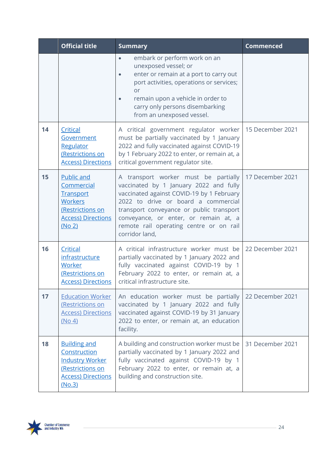|    | <b>Official title</b>                                                                                                                 | <b>Summary</b>                                                                                                                                                                                                                                                                                                       | <b>Commenced</b> |
|----|---------------------------------------------------------------------------------------------------------------------------------------|----------------------------------------------------------------------------------------------------------------------------------------------------------------------------------------------------------------------------------------------------------------------------------------------------------------------|------------------|
|    |                                                                                                                                       | embark or perform work on an<br>unexposed vessel; or<br>enter or remain at a port to carry out<br>port activities, operations or services;<br>or<br>remain upon a vehicle in order to<br>carry only persons disembarking<br>from an unexposed vessel.                                                                |                  |
| 14 | Critical<br>Government<br>Regulator<br>(Restrictions on<br><b>Access) Directions</b>                                                  | A critical government regulator worker   15 December 2021<br>must be partially vaccinated by 1 January<br>2022 and fully vaccinated against COVID-19<br>by 1 February 2022 to enter, or remain at, a<br>critical government regulator site.                                                                          |                  |
| 15 | Public and<br>Commercial<br><b>Transport</b><br><b>Workers</b><br>(Restrictions on<br><b>Access) Directions</b><br>(No <sub>2</sub> ) | A transport worker must be partially<br>vaccinated by 1 January 2022 and fully<br>vaccinated against COVID-19 by 1 February<br>2022 to drive or board a commercial<br>transport conveyance or public transport<br>conveyance, or enter, or remain at, a<br>remote rail operating centre or on rail<br>corridor land, | 17 December 2021 |
| 16 | Critical<br><i>infrastructure</i><br>Worker<br>(Restrictions on<br><u> Access) Directions</u>                                         | A critical infrastructure worker must be<br>partially vaccinated by 1 January 2022 and<br>fully vaccinated against COVID-19 by 1<br>February 2022 to enter, or remain at, a<br>critical infrastructure site.                                                                                                         | 22 December 2021 |
| 17 | <b>Education Worker</b><br>(Restrictions on<br><b>Access) Directions</b><br>(No 4)                                                    | An education worker must be partially<br>vaccinated by 1 January 2022 and fully<br>vaccinated against COVID-19 by 31 January<br>2022 to enter, or remain at, an education<br>facility.                                                                                                                               | 22 December 2021 |
| 18 | <b>Building and</b><br>Construction<br><b>Industry Worker</b><br>(Restrictions on<br><b>Access) Directions</b><br>(No.3)              | A building and construction worker must be<br>partially vaccinated by 1 January 2022 and<br>fully vaccinated against COVID-19 by 1<br>February 2022 to enter, or remain at, a<br>building and construction site.                                                                                                     | 31 December 2021 |

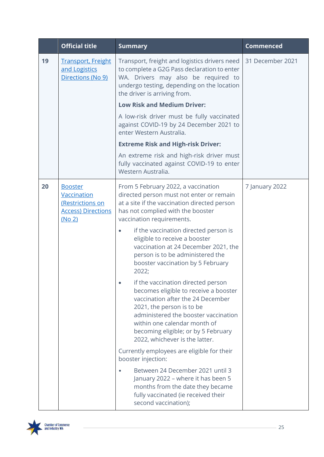|    | <b>Official title</b>                                                                           | <b>Summary</b>                                                                                                                                                                                                                                                                                                                                                                                                                                                                       | <b>Commenced</b> |
|----|-------------------------------------------------------------------------------------------------|--------------------------------------------------------------------------------------------------------------------------------------------------------------------------------------------------------------------------------------------------------------------------------------------------------------------------------------------------------------------------------------------------------------------------------------------------------------------------------------|------------------|
| 19 | <b>Transport, Freight</b><br>and Logistics<br>Directions (No 9)                                 | Transport, freight and logistics drivers need<br>to complete a G2G Pass declaration to enter<br>WA. Drivers may also be required to<br>undergo testing, depending on the location<br>the driver is arriving from.<br><b>Low Risk and Medium Driver:</b>                                                                                                                                                                                                                              | 31 December 2021 |
|    |                                                                                                 | A low-risk driver must be fully vaccinated<br>against COVID-19 by 24 December 2021 to<br>enter Western Australia.                                                                                                                                                                                                                                                                                                                                                                    |                  |
|    |                                                                                                 | <b>Extreme Risk and High-risk Driver:</b>                                                                                                                                                                                                                                                                                                                                                                                                                                            |                  |
|    |                                                                                                 | An extreme risk and high-risk driver must<br>fully vaccinated against COVID-19 to enter<br>Western Australia.                                                                                                                                                                                                                                                                                                                                                                        |                  |
| 20 | <b>Booster</b><br><b>Vaccination</b><br>(Restrictions on<br><b>Access) Directions</b><br>(No 2) | From 5 February 2022, a vaccination<br>directed person must not enter or remain<br>at a site if the vaccination directed person<br>has not complied with the booster<br>vaccination requirements.<br>if the vaccination directed person is<br>eligible to receive a booster<br>vaccination at 24 December 2021, the<br>person is to be administered the<br>booster vaccination by 5 February<br>2022;<br>if the vaccination directed person<br>becomes eligible to receive a booster | 7 January 2022   |
|    |                                                                                                 | vaccination after the 24 December<br>2021, the person is to be<br>administered the booster vaccination<br>within one calendar month of<br>becoming eligible; or by 5 February<br>2022, whichever is the latter.<br>Currently employees are eligible for their<br>booster injection:<br>Between 24 December 2021 until 3<br>January 2022 - where it has been 5                                                                                                                        |                  |
|    |                                                                                                 | months from the date they became<br>fully vaccinated (ie received their<br>second vaccination);                                                                                                                                                                                                                                                                                                                                                                                      |                  |